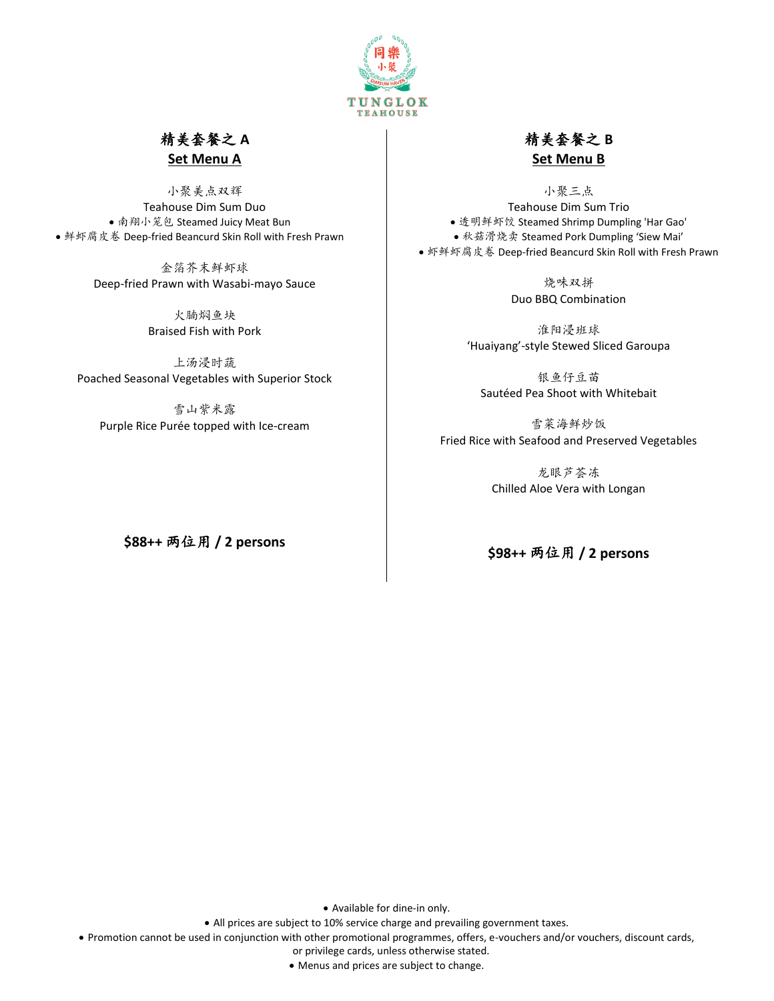

# 精美套餐之 **A Set Menu A**

小聚美点双辉 Teahouse Dim Sum Duo • 南翔小笼包 Steamed Juicy Meat Bun • 鲜虾腐皮卷 Deep-fried Beancurd Skin Roll with Fresh Prawn

> 金箔芥末鲜虾球 Deep-fried Prawn with Wasabi-mayo Sauce

> > 火腩焖鱼块 Braised Fish with Pork

上汤浸时蔬 Poached Seasonal Vegetables with Superior Stock

雪山紫米露 Purple Rice Purée topped with Ice-cream

**\$88++** 两位用 **/ 2 persons**

# 精美套餐之 **B Set Menu B**

小聚三点 Teahouse Dim Sum Trio • 透明鲜虾饺 Steamed Shrimp Dumpling 'Har Gao' • 秋菇滑烧卖 Steamed Pork Dumpling 'Siew Mai' • 虾鲜虾腐皮卷 Deep-fried Beancurd Skin Roll with Fresh Prawn

> 烧味双拼 Duo BBQ Combination

淮阳浸班球 'Huaiyang'-style Stewed Sliced Garoupa

银鱼仔豆苗 Sautéed Pea Shoot with Whitebait

雪菜海鲜炒饭 Fried Rice with Seafood and Preserved Vegetables

> 龙眼芦荟冻 Chilled Aloe Vera with Longan

### **\$98++** 两位用 **/ 2 persons**

• Available for dine-in only.

• All prices are subject to 10% service charge and prevailing government taxes.

• Promotion cannot be used in conjunction with other promotional programmes, offers, e-vouchers and/or vouchers, discount cards,

or privilege cards, unless otherwise stated.

• Menus and prices are subject to change.